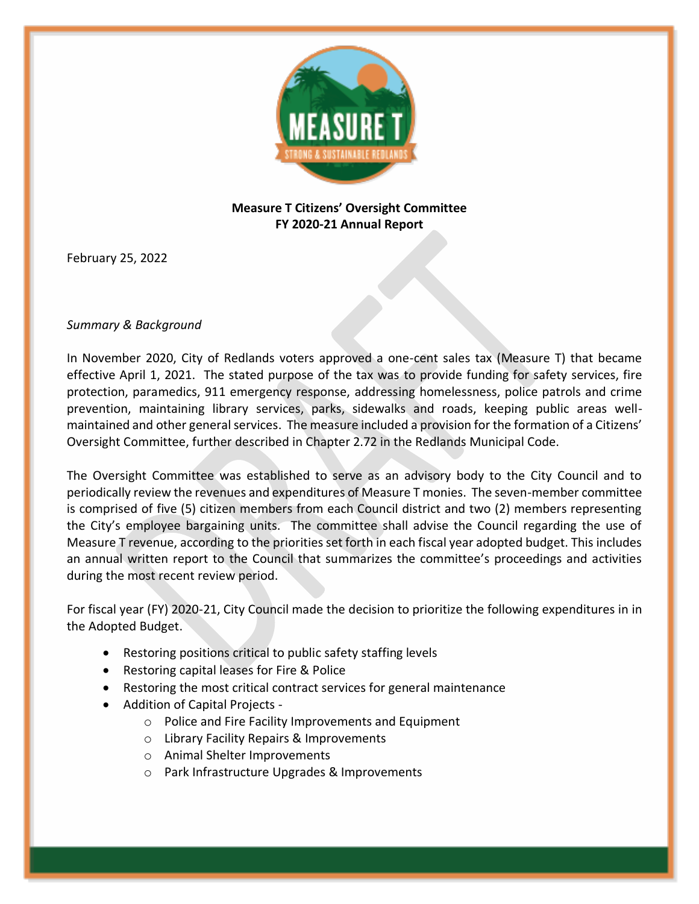

## **Measure T Citizens' Oversight Committee FY 2020-21 Annual Report**

February 25, 2022

## *Summary & Background*

In November 2020, City of Redlands voters approved a one-cent sales tax (Measure T) that became effective April 1, 2021. The stated purpose of the tax was to provide funding for safety services, fire protection, paramedics, 911 emergency response, addressing homelessness, police patrols and crime prevention, maintaining library services, parks, sidewalks and roads, keeping public areas wellmaintained and other general services. The measure included a provision for the formation of a Citizens' Oversight Committee, further described in Chapter 2.72 in the Redlands Municipal Code.

The Oversight Committee was established to serve as an advisory body to the City Council and to periodically review the revenues and expenditures of Measure T monies. The seven-member committee is comprised of five (5) citizen members from each Council district and two (2) members representing the City's employee bargaining units. The committee shall advise the Council regarding the use of Measure T revenue, according to the priorities set forth in each fiscal year adopted budget. This includes an annual written report to the Council that summarizes the committee's proceedings and activities during the most recent review period.

For fiscal year (FY) 2020-21, City Council made the decision to prioritize the following expenditures in in the Adopted Budget.

- Restoring positions critical to public safety staffing levels
- Restoring capital leases for Fire & Police
- Restoring the most critical contract services for general maintenance
- Addition of Capital Projects
	- o Police and Fire Facility Improvements and Equipment
	- o Library Facility Repairs & Improvements
	- o Animal Shelter Improvements
	- o Park Infrastructure Upgrades & Improvements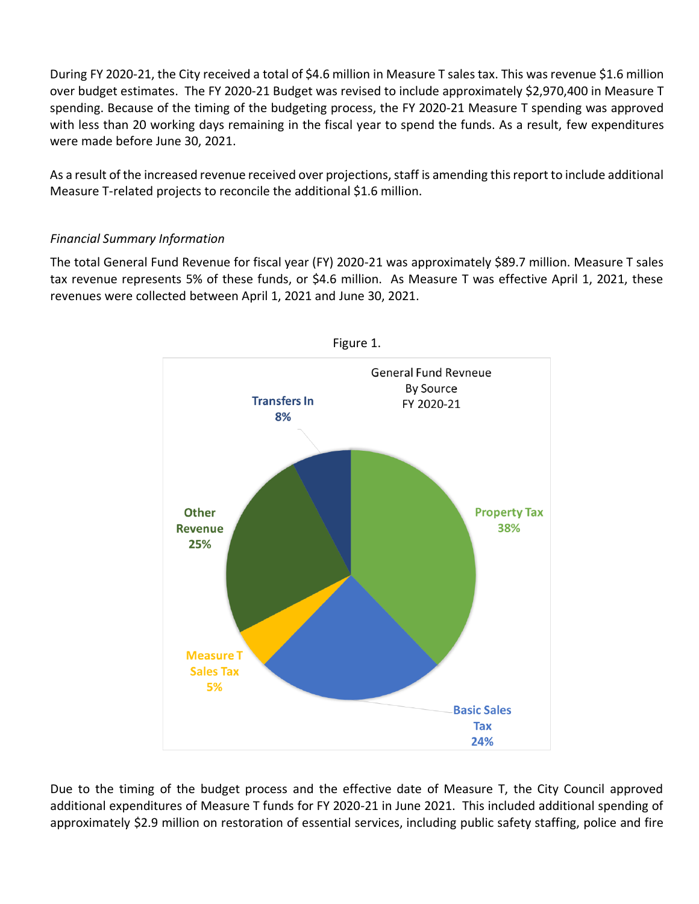During FY 2020-21, the City received a total of \$4.6 million in Measure T sales tax. This was revenue \$1.6 million over budget estimates. The FY 2020-21 Budget was revised to include approximately \$2,970,400 in Measure T spending. Because of the timing of the budgeting process, the FY 2020-21 Measure T spending was approved with less than 20 working days remaining in the fiscal year to spend the funds. As a result, few expenditures were made before June 30, 2021.

As a result of the increased revenue received over projections, staff is amending this report to include additional Measure T-related projects to reconcile the additional \$1.6 million.

## *Financial Summary Information*

The total General Fund Revenue for fiscal year (FY) 2020-21 was approximately \$89.7 million. Measure T sales tax revenue represents 5% of these funds, or \$4.6 million. As Measure T was effective April 1, 2021, these revenues were collected between April 1, 2021 and June 30, 2021.



Due to the timing of the budget process and the effective date of Measure T, the City Council approved additional expenditures of Measure T funds for FY 2020-21 in June 2021. This included additional spending of approximately \$2.9 million on restoration of essential services, including public safety staffing, police and fire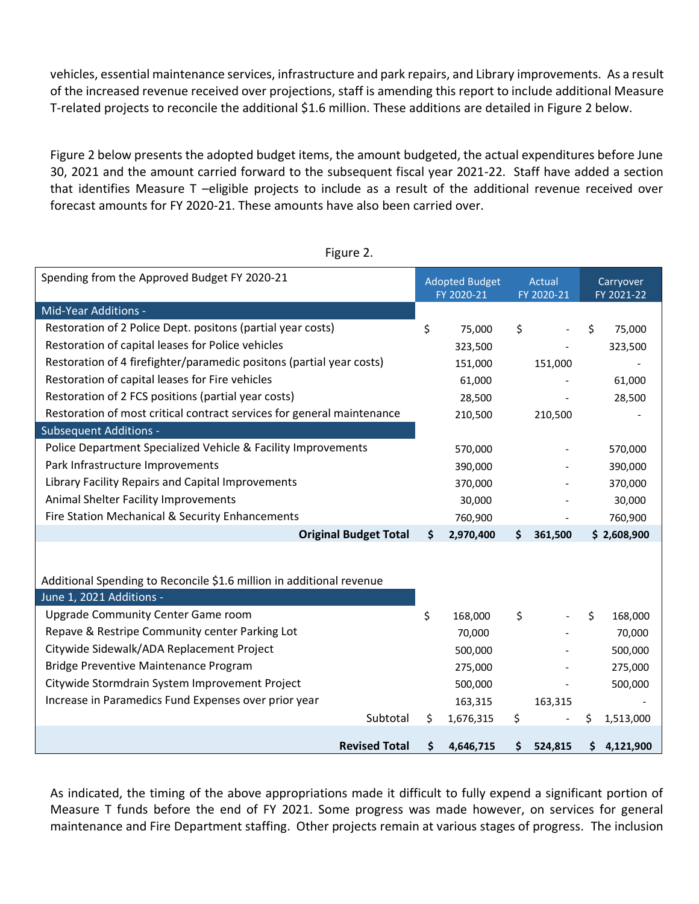vehicles, essential maintenance services, infrastructure and park repairs, and Library improvements. As a result of the increased revenue received over projections, staff is amending this report to include additional Measure T-related projects to reconcile the additional \$1.6 million. These additions are detailed in Figure 2 below.

Figure 2 below presents the adopted budget items, the amount budgeted, the actual expenditures before June 30, 2021 and the amount carried forward to the subsequent fiscal year 2021-22. Staff have added a section that identifies Measure T –eligible projects to include as a result of the additional revenue received over forecast amounts for FY 2020-21. These amounts have also been carried over.

| Spending from the Approved Budget FY 2020-21                           |    | <b>Adopted Budget</b><br>FY 2020-21 | <b>Actual</b><br>FY 2020-21 |         | Carryover<br>FY 2021-22 |             |
|------------------------------------------------------------------------|----|-------------------------------------|-----------------------------|---------|-------------------------|-------------|
| Mid-Year Additions -                                                   |    |                                     |                             |         |                         |             |
| Restoration of 2 Police Dept. positons (partial year costs)            | \$ | 75,000                              | \$                          |         | \$                      | 75,000      |
| Restoration of capital leases for Police vehicles                      |    | 323,500                             |                             |         |                         | 323,500     |
| Restoration of 4 firefighter/paramedic positons (partial year costs)   |    | 151,000                             |                             | 151,000 |                         |             |
| Restoration of capital leases for Fire vehicles                        |    | 61,000                              |                             |         |                         | 61,000      |
| Restoration of 2 FCS positions (partial year costs)                    |    | 28,500                              |                             |         |                         | 28,500      |
| Restoration of most critical contract services for general maintenance |    | 210,500                             |                             | 210,500 |                         |             |
| <b>Subsequent Additions -</b>                                          |    |                                     |                             |         |                         |             |
| Police Department Specialized Vehicle & Facility Improvements          |    | 570,000                             |                             |         |                         | 570,000     |
| Park Infrastructure Improvements                                       |    | 390,000                             |                             |         |                         | 390,000     |
| Library Facility Repairs and Capital Improvements                      |    | 370,000                             |                             |         |                         | 370,000     |
| Animal Shelter Facility Improvements                                   |    | 30,000                              |                             |         |                         | 30,000      |
| Fire Station Mechanical & Security Enhancements                        |    | 760,900                             |                             |         |                         | 760,900     |
| <b>Original Budget Total</b>                                           | Ŝ. | 2,970,400                           | S.                          | 361,500 |                         | \$2,608,900 |
|                                                                        |    |                                     |                             |         |                         |             |
| Additional Spending to Reconcile \$1.6 million in additional revenue   |    |                                     |                             |         |                         |             |
| June 1, 2021 Additions -                                               |    |                                     |                             |         |                         |             |
| Upgrade Community Center Game room                                     | \$ | 168,000                             | \$                          |         | \$                      | 168,000     |
| Repave & Restripe Community center Parking Lot                         |    | 70,000                              |                             |         |                         | 70,000      |
| Citywide Sidewalk/ADA Replacement Project                              |    | 500,000                             |                             |         |                         | 500,000     |
| Bridge Preventive Maintenance Program                                  |    | 275,000                             |                             |         |                         | 275,000     |
| Citywide Stormdrain System Improvement Project                         |    | 500,000                             |                             |         |                         | 500,000     |
| Increase in Paramedics Fund Expenses over prior year                   |    | 163,315                             |                             | 163,315 |                         |             |
| Subtotal                                                               | \$ | 1,676,315                           | \$                          |         | \$                      | 1,513,000   |
| <b>Revised Total</b>                                                   | Ś. | 4,646,715                           | \$                          | 524,815 | \$.                     | 4,121,900   |

Figure 2.

As indicated, the timing of the above appropriations made it difficult to fully expend a significant portion of Measure T funds before the end of FY 2021. Some progress was made however, on services for general maintenance and Fire Department staffing. Other projects remain at various stages of progress. The inclusion